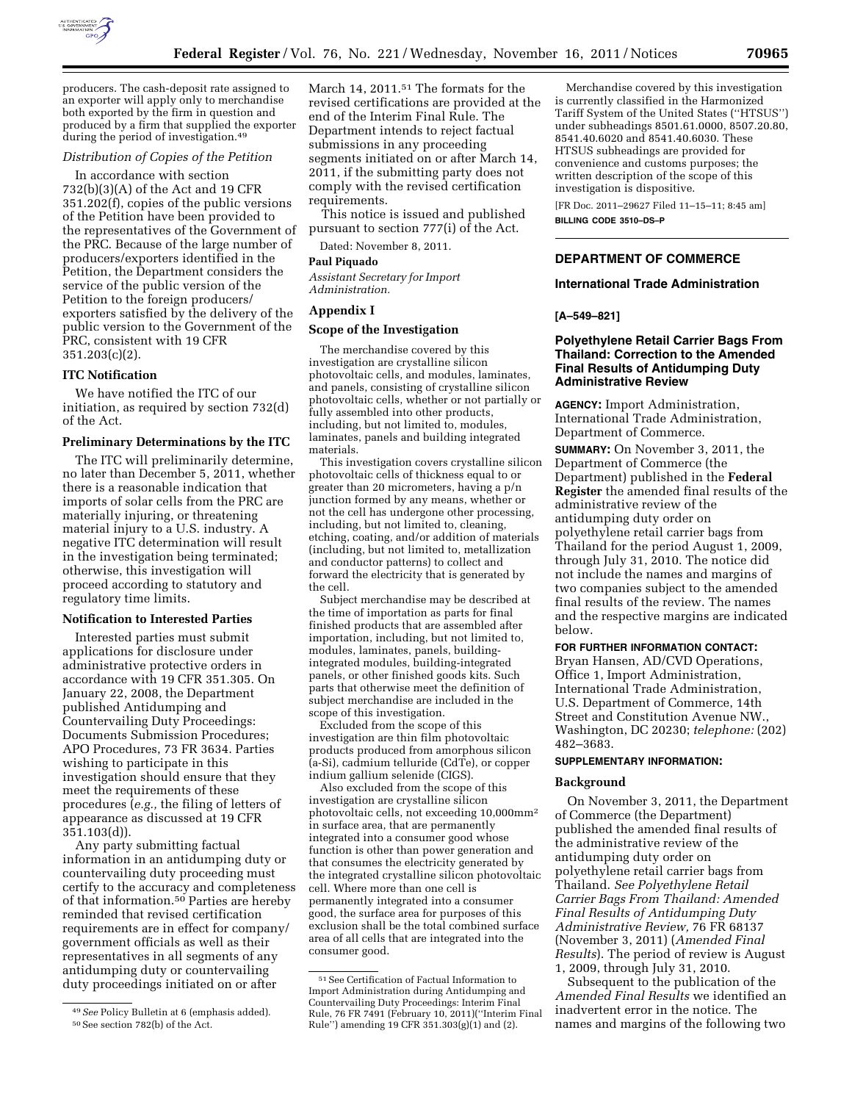

producers. The cash-deposit rate assigned to an exporter will apply only to merchandise both exported by the firm in question and produced by a firm that supplied the exporter during the period of investigation.49

## *Distribution of Copies of the Petition*

In accordance with section 732(b)(3)(A) of the Act and 19 CFR 351.202(f), copies of the public versions of the Petition have been provided to the representatives of the Government of the PRC. Because of the large number of producers/exporters identified in the Petition, the Department considers the service of the public version of the Petition to the foreign producers/ exporters satisfied by the delivery of the public version to the Government of the PRC, consistent with 19 CFR  $351.203(c)(2)$ .

# **ITC Notification**

We have notified the ITC of our initiation, as required by section 732(d) of the Act.

## **Preliminary Determinations by the ITC**

The ITC will preliminarily determine, no later than December 5, 2011, whether there is a reasonable indication that imports of solar cells from the PRC are materially injuring, or threatening material injury to a U.S. industry. A negative ITC determination will result in the investigation being terminated; otherwise, this investigation will proceed according to statutory and regulatory time limits.

### **Notification to Interested Parties**

Interested parties must submit applications for disclosure under administrative protective orders in accordance with 19 CFR 351.305. On January 22, 2008, the Department published Antidumping and Countervailing Duty Proceedings: Documents Submission Procedures; APO Procedures, 73 FR 3634. Parties wishing to participate in this investigation should ensure that they meet the requirements of these procedures (*e.g.,* the filing of letters of appearance as discussed at 19 CFR 351.103(d)).

Any party submitting factual information in an antidumping duty or countervailing duty proceeding must certify to the accuracy and completeness of that information.50 Parties are hereby reminded that revised certification requirements are in effect for company/ government officials as well as their representatives in all segments of any antidumping duty or countervailing duty proceedings initiated on or after

March 14, 2011.<sup>51</sup> The formats for the revised certifications are provided at the end of the Interim Final Rule. The Department intends to reject factual submissions in any proceeding segments initiated on or after March 14, 2011, if the submitting party does not comply with the revised certification requirements.

This notice is issued and published pursuant to section 777(i) of the Act.

Dated: November 8, 2011.

#### **Paul Piquado**

*Assistant Secretary for Import Administration.* 

#### **Appendix I**

## **Scope of the Investigation**

The merchandise covered by this investigation are crystalline silicon photovoltaic cells, and modules, laminates, and panels, consisting of crystalline silicon photovoltaic cells, whether or not partially or fully assembled into other products, including, but not limited to, modules, laminates, panels and building integrated materials.

This investigation covers crystalline silicon photovoltaic cells of thickness equal to or greater than 20 micrometers, having a p/n junction formed by any means, whether or not the cell has undergone other processing, including, but not limited to, cleaning, etching, coating, and/or addition of materials (including, but not limited to, metallization and conductor patterns) to collect and forward the electricity that is generated by the cell.

Subject merchandise may be described at the time of importation as parts for final finished products that are assembled after importation, including, but not limited to, modules, laminates, panels, buildingintegrated modules, building-integrated panels, or other finished goods kits. Such parts that otherwise meet the definition of subject merchandise are included in the scope of this investigation.

Excluded from the scope of this investigation are thin film photovoltaic products produced from amorphous silicon (a-Si), cadmium telluride (CdTe), or copper indium gallium selenide (CIGS).

Also excluded from the scope of this investigation are crystalline silicon photovoltaic cells, not exceeding 10,000mm2 in surface area, that are permanently integrated into a consumer good whose function is other than power generation and that consumes the electricity generated by the integrated crystalline silicon photovoltaic cell. Where more than one cell is permanently integrated into a consumer good, the surface area for purposes of this exclusion shall be the total combined surface area of all cells that are integrated into the consumer good.

Merchandise covered by this investigation is currently classified in the Harmonized Tariff System of the United States (''HTSUS'') under subheadings 8501.61.0000, 8507.20.80, 8541.40.6020 and 8541.40.6030. These HTSUS subheadings are provided for convenience and customs purposes; the written description of the scope of this investigation is dispositive.

[FR Doc. 2011–29627 Filed 11–15–11; 8:45 am] **BILLING CODE 3510–DS–P** 

# **DEPARTMENT OF COMMERCE**

# **International Trade Administration**

## **[A–549–821]**

# **Polyethylene Retail Carrier Bags From Thailand: Correction to the Amended Final Results of Antidumping Duty Administrative Review**

**AGENCY:** Import Administration, International Trade Administration, Department of Commerce.

**SUMMARY:** On November 3, 2011, the Department of Commerce (the Department) published in the **Federal Register** the amended final results of the administrative review of the antidumping duty order on polyethylene retail carrier bags from Thailand for the period August 1, 2009, through July 31, 2010. The notice did not include the names and margins of two companies subject to the amended final results of the review. The names and the respective margins are indicated below.

## **FOR FURTHER INFORMATION CONTACT:**

Bryan Hansen, AD/CVD Operations, Office 1, Import Administration, International Trade Administration, U.S. Department of Commerce, 14th Street and Constitution Avenue NW., Washington, DC 20230; *telephone:* (202) 482–3683.

#### **SUPPLEMENTARY INFORMATION:**

#### **Background**

On November 3, 2011, the Department of Commerce (the Department) published the amended final results of the administrative review of the antidumping duty order on polyethylene retail carrier bags from Thailand. *See Polyethylene Retail Carrier Bags From Thailand: Amended Final Results of Antidumping Duty Administrative Review,* 76 FR 68137 (November 3, 2011) (*Amended Final Results*). The period of review is August 1, 2009, through July 31, 2010.

Subsequent to the publication of the *Amended Final Results* we identified an inadvertent error in the notice. The names and margins of the following two

<sup>49</sup>*See* Policy Bulletin at 6 (emphasis added). 50See section 782(b) of the Act.

 $\ensuremath{^{51}}$  See Certification of Factual Information to Import Administration during Antidumping and Countervailing Duty Proceedings: Interim Final Rule, 76 FR 7491 (February 10, 2011)(''Interim Final Rule'') amending 19 CFR 351.303(g)(1) and (2).